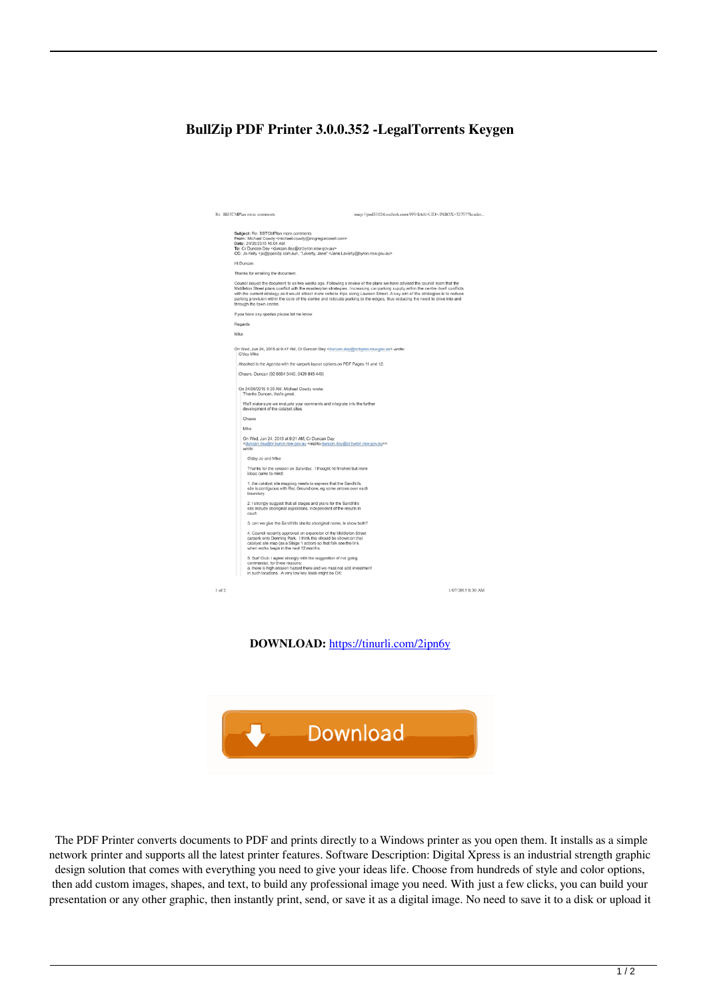## **BullZip PDF Printer 3.0.0.352 -LegalTorrents Keygen**

|      |      | Re: BBTCMPlan more comments                                                                                                                                                                                                                                                                                                                                                                     | imap://pod51024.outlook.com:993/fetch>UID>/INBOX>32757?header                                                                                                                                                                                                      |  |
|------|------|-------------------------------------------------------------------------------------------------------------------------------------------------------------------------------------------------------------------------------------------------------------------------------------------------------------------------------------------------------------------------------------------------|--------------------------------------------------------------------------------------------------------------------------------------------------------------------------------------------------------------------------------------------------------------------|--|
|      |      | Subject: Re: BBTCMPlan more comments<br>From: Michael Cowdy <michael.cowdy@mcgregorcoxall.com><br/>Date: 24/06/2015 10:01 AM<br/>To: Cr Duncan Dey <duncan.dey@cr.byron.nsw.gov.au><br/>CC: Jo Kelly <jo@ppandp.com.au>, "Laverty, Jane" <jane.laverty@byron.nsw.gov.au></jane.laverty@byron.nsw.gov.au></jo@ppandp.com.au></duncan.dey@cr.byron.nsw.gov.au></michael.cowdy@mcgregorcoxall.com> |                                                                                                                                                                                                                                                                    |  |
|      |      | Hi Duncan                                                                                                                                                                                                                                                                                                                                                                                       |                                                                                                                                                                                                                                                                    |  |
|      |      | Thanks for emailing the document.                                                                                                                                                                                                                                                                                                                                                               |                                                                                                                                                                                                                                                                    |  |
|      |      | Council issued the document to us two weeks ago. Following a review of the plans we have advised the council team that the<br>parking provision within the core of the centre and relocate parking to the edges, thus reducing the need to drive into and<br>through the town centre.                                                                                                           | Middleton Street plans conflict with the masterplan strategies. Increasing car parking supply within the centre itself conflicts<br>with the current strategy as it would attract more vehicle trips along Lawson Street. A key aim of the strategies is to reduce |  |
|      |      | If you have any queries please let me know.                                                                                                                                                                                                                                                                                                                                                     |                                                                                                                                                                                                                                                                    |  |
|      |      | Regards                                                                                                                                                                                                                                                                                                                                                                                         |                                                                                                                                                                                                                                                                    |  |
|      | Mike |                                                                                                                                                                                                                                                                                                                                                                                                 |                                                                                                                                                                                                                                                                    |  |
|      |      |                                                                                                                                                                                                                                                                                                                                                                                                 |                                                                                                                                                                                                                                                                    |  |
|      |      | On Wed, Jun 24, 2015 at 9:47 AM, Cr Duncan Dey <duncan.dey@cr.byron.nsw.gov.au> wrote:<br/>G'day Mike</duncan.dey@cr.byron.nsw.gov.au>                                                                                                                                                                                                                                                          |                                                                                                                                                                                                                                                                    |  |
|      |      | Aftached is the Agenda with the carpark layout options on PDF Pages 11 and 12.                                                                                                                                                                                                                                                                                                                  |                                                                                                                                                                                                                                                                    |  |
|      |      | Cheers, Duncan (02 6684 5440; 0429 845 440)                                                                                                                                                                                                                                                                                                                                                     |                                                                                                                                                                                                                                                                    |  |
|      |      | On 24/06/2015 9:28 AM, Michael Cowdy wrote:<br>Thanks Duncan, that's great.                                                                                                                                                                                                                                                                                                                     |                                                                                                                                                                                                                                                                    |  |
|      |      | We'll make sure we evaluate your comments and integrate into the further<br>development of the catalyst sites.                                                                                                                                                                                                                                                                                  |                                                                                                                                                                                                                                                                    |  |
|      |      | Cheers                                                                                                                                                                                                                                                                                                                                                                                          |                                                                                                                                                                                                                                                                    |  |
|      |      | Mike                                                                                                                                                                                                                                                                                                                                                                                            |                                                                                                                                                                                                                                                                    |  |
|      |      | On Wed, Jun 24, 2015 at 9:21 AM, Cr Duncan Dey<br><duncan.dey@cr.byron.nsw.gov.au <mailto:duncan.dey@cr.byron.nsw.gov.au="">&gt;<br/>wrote:</duncan.dey@cr.byron.nsw.gov.au>                                                                                                                                                                                                                    |                                                                                                                                                                                                                                                                    |  |
|      |      | G'day Jo and Mike                                                                                                                                                                                                                                                                                                                                                                               |                                                                                                                                                                                                                                                                    |  |
|      |      | Thanks for the session on Saturday. I thought I'd finished but more<br>ideas came to mind:                                                                                                                                                                                                                                                                                                      |                                                                                                                                                                                                                                                                    |  |
|      |      | 1. the catalyst site mapping needs to express that the Sandhills<br>site is contiguous with Rec Ground one, eg some arrows over each<br>boundary.                                                                                                                                                                                                                                               |                                                                                                                                                                                                                                                                    |  |
|      |      | 2. I strongly suggest that all stages and plans for the Sandhills<br>site include aboriginal aspirations, independent of the results in<br>court.                                                                                                                                                                                                                                               |                                                                                                                                                                                                                                                                    |  |
|      |      | 3. can we give the Sandhills site its aboriginal name, ie show both?                                                                                                                                                                                                                                                                                                                            |                                                                                                                                                                                                                                                                    |  |
|      |      | 4. Council recently approved an expansion of the Middleton Street<br>carpark onto Denning Park. I think this should be shown on that<br>catalyst site map (as a Stage 1 action) so that folk see the link<br>when works begin in the next 12 months.                                                                                                                                            |                                                                                                                                                                                                                                                                    |  |
|      |      | 5. Surf Club: I agree strongly with the suggestion of not going<br>commercial, for three reasons:<br>a. there is high erosion hazard there and we must not add investment<br>in such locations. A very low key klosk might be OK;                                                                                                                                                               |                                                                                                                                                                                                                                                                    |  |
| of 2 |      |                                                                                                                                                                                                                                                                                                                                                                                                 | 1/07/2015 8:30 AM                                                                                                                                                                                                                                                  |  |
|      |      |                                                                                                                                                                                                                                                                                                                                                                                                 |                                                                                                                                                                                                                                                                    |  |
|      |      |                                                                                                                                                                                                                                                                                                                                                                                                 |                                                                                                                                                                                                                                                                    |  |
|      |      |                                                                                                                                                                                                                                                                                                                                                                                                 |                                                                                                                                                                                                                                                                    |  |
|      |      |                                                                                                                                                                                                                                                                                                                                                                                                 |                                                                                                                                                                                                                                                                    |  |
|      |      |                                                                                                                                                                                                                                                                                                                                                                                                 |                                                                                                                                                                                                                                                                    |  |

**DOWNLOAD:** <https://tinurli.com/2ipn6y>



 The PDF Printer converts documents to PDF and prints directly to a Windows printer as you open them. It installs as a simple network printer and supports all the latest printer features. Software Description: Digital Xpress is an industrial strength graphic design solution that comes with everything you need to give your ideas life. Choose from hundreds of style and color options, then add custom images, shapes, and text, to build any professional image you need. With just a few clicks, you can build your presentation or any other graphic, then instantly print, send, or save it as a digital image. No need to save it to a disk or upload it